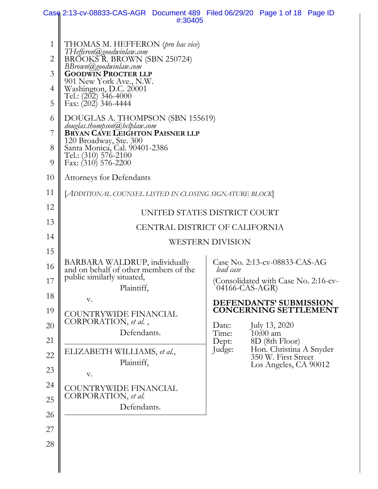|                | Case 2:13-cv-08833-CAS-AGR Document 489 Filed 06/29/20 Page 1 of 18 Page ID | #:30405 |                |                                                |  |
|----------------|-----------------------------------------------------------------------------|---------|----------------|------------------------------------------------|--|
|                |                                                                             |         |                |                                                |  |
| $\mathbf{1}$   | THOMAS M. HEFFERON (pro hac vice)<br>THefferon@goodwinlaw.com               |         |                |                                                |  |
| $\overline{2}$ | BRŐOKŠŘ. BROWN (SBN 250724)<br>BBrown@goodwinlaw.com                        |         |                |                                                |  |
| 3              | <b>GOODWIN PROCTER LLP</b><br>901 New York Ave., N.W.                       |         |                |                                                |  |
| 4              | Washington, D.C. 20001<br>Tel.: $(202)$ 346-4000                            |         |                |                                                |  |
| 5              | Fax: (202) 346-4444                                                         |         |                |                                                |  |
| 6              | DOUGLAS A. THOMPSON (SBN 155619)<br>douglas.thompson@bclplaw.com            |         |                |                                                |  |
| 7              | <b>BRYAN CAVE LEIGHTON PAISNER LLP</b><br>120 Broadway, Ste. 300            |         |                |                                                |  |
| 8              | Santa Monica, Cal. 90401-2386<br>Tel.: (310) 576-2100                       |         |                |                                                |  |
| 9              | Fax: (310) 576-2200                                                         |         |                |                                                |  |
| 10             | <b>Attorneys for Defendants</b>                                             |         |                |                                                |  |
| 11             | [ADDITIONAL COUNSEL LISTED IN CLOSING SIGNATURE BLOCK]                      |         |                |                                                |  |
| 12             | UNITED STATES DISTRICT COURT                                                |         |                |                                                |  |
| 13             | CENTRAL DISTRICT OF CALIFORNIA                                              |         |                |                                                |  |
| 14             | <b>WESTERN DIVISION</b>                                                     |         |                |                                                |  |
| 15             |                                                                             |         |                |                                                |  |
| 16             | BARBARA WALDRUP, individually<br>and on behalf of other members of the      |         | lead case      | Case No. 2:13-cv-08833-CAS-AG                  |  |
| 17             | public similarly situated,<br>Plaintiff,                                    |         | 04166-CAS-AGR) | Consolidated with Case No. 2:16-cv-            |  |
| 18             | V.                                                                          |         |                | <b>DEFENDANTS' SUBMISSION</b>                  |  |
| 19             | COUNTRYWIDE FINANCIAL                                                       |         |                | <b>CONCERNING SETTLEMENT</b>                   |  |
| 20             | CORPORATION, et al.,<br>Defendants.                                         |         | Date:<br>Time: | July 13, 2020<br>$10:00 \text{ am}$            |  |
| 21             |                                                                             |         | Dept:          | 8D (8th Floor)                                 |  |
| 22             | ELIZABETH WILLIAMS, et al.,<br>Plaintiff,                                   |         | Judge:         | Hon. Christina A Snyder<br>350 W. First Street |  |
| 23             | V.                                                                          |         |                | Los Angeles, CA 90012                          |  |
| 24             | COUNTRYWIDE FINANCIAL                                                       |         |                |                                                |  |
| 25             | CORPORATION, et al.<br>Defendants.                                          |         |                |                                                |  |
| 26             |                                                                             |         |                |                                                |  |
| 27             |                                                                             |         |                |                                                |  |
| 28             |                                                                             |         |                |                                                |  |
|                |                                                                             |         |                |                                                |  |
|                |                                                                             |         |                |                                                |  |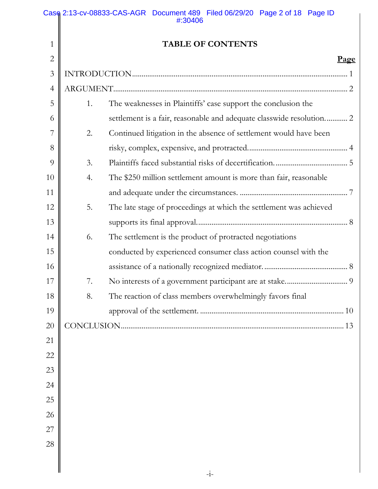|                |    | Case 2:13-cv-08833-CAS-AGR Document 489 Filed 06/29/20 Page 2 of 18 Page ID<br>#:30406 |
|----------------|----|----------------------------------------------------------------------------------------|
| $\mathbf{1}$   |    | <b>TABLE OF CONTENTS</b>                                                               |
| $\overline{2}$ |    | Page                                                                                   |
| 3              |    |                                                                                        |
| $\overline{4}$ |    |                                                                                        |
| 5              | 1. | The weaknesses in Plaintiffs' case support the conclusion the                          |
| 6              |    | settlement is a fair, reasonable and adequate classwide resolution 2                   |
| 7              | 2. | Continued litigation in the absence of settlement would have been                      |
| 8              |    |                                                                                        |
| 9              | 3. |                                                                                        |
| 10             | 4. | The \$250 million settlement amount is more than fair, reasonable                      |
| 11             |    |                                                                                        |
| 12             | 5. | The late stage of proceedings at which the settlement was achieved                     |
| 13             |    |                                                                                        |
| 14             | 6. | The settlement is the product of protracted negotiations                               |
| 15             |    | conducted by experienced consumer class action counsel with the                        |
| 16             |    |                                                                                        |
| 17             | 7. |                                                                                        |
| 18             | 8. | The reaction of class members overwhelmingly favors final                              |
| 19             |    |                                                                                        |
| 20             |    |                                                                                        |
| 21             |    |                                                                                        |
| 22             |    |                                                                                        |
| 23             |    |                                                                                        |
| 24             |    |                                                                                        |
| 25             |    |                                                                                        |
| 26             |    |                                                                                        |
| 27             |    |                                                                                        |
| 28             |    |                                                                                        |
|                |    |                                                                                        |
|                |    |                                                                                        |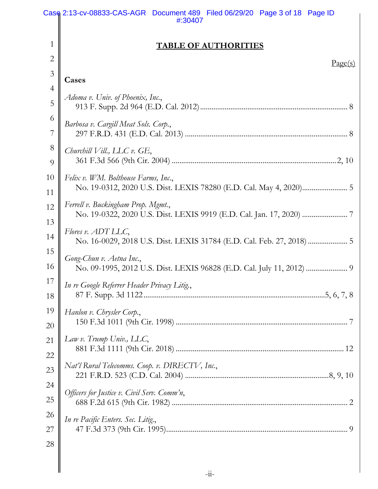|                | Case 2:13-cv-08833-CAS-AGR Document 489 Filed 06/29/20 Page 3 of 18 Page ID<br>#:30407 |  |
|----------------|----------------------------------------------------------------------------------------|--|
| 1              | <b>TABLE OF AUTHORITIES</b>                                                            |  |
| $\mathbf{2}$   | Page(s)                                                                                |  |
| 3              | Cases                                                                                  |  |
| $\overline{4}$ |                                                                                        |  |
| 5              | Adoma v. Univ. of Phoenix, Inc.,                                                       |  |
| 6<br>7         | Barbosa v. Cargill Meat Sols. Corp.,                                                   |  |
| 8              | Churchill Vill., LLC $v$ . GE,                                                         |  |
| 9              |                                                                                        |  |
| 10             | Felix v. WM. Bolthouse Farms, Inc.,                                                    |  |
| 11             |                                                                                        |  |
| 12             | Ferrell v. Buckingham Prop. Mgmt.,                                                     |  |
| 13             | Flores v. ADT LLC,                                                                     |  |
| 14             | No. 16-0029, 2018 U.S. Dist. LEXIS 31784 (E.D. Cal. Feb. 27, 2018)  5                  |  |
| 15<br>16       | Gong-Chun v. Aetna Inc.,                                                               |  |
|                | No. 09-1995, 2012 U.S. Dist. LEXIS 96828 (E.D. Cal. July 11, 2012)  9                  |  |
| 17<br>18       | In re Google Referrer Header Privacy Litig.,                                           |  |
| 19             | Hanlon v. Chrysler Corp.,                                                              |  |
| 20             |                                                                                        |  |
| 21             | Law v. Trump Univ., LLC,                                                               |  |
| 22             |                                                                                        |  |
| 23             | Nat'l Rural Telecomms. Coop. v. DIRECTV, Inc.,                                         |  |
| 24             |                                                                                        |  |
| 25             | Officers for Justice v. Civil Serv. Comm'n,                                            |  |
| 26             | In re Pacific Enters. Sec. Litig.,                                                     |  |
| 27             |                                                                                        |  |
| 28             |                                                                                        |  |
|                |                                                                                        |  |
|                |                                                                                        |  |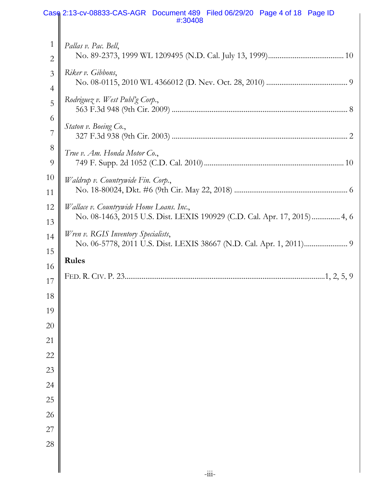|                | Case 2:13-cv-08833-CAS-AGR Document 489 Filed 06/29/20 Page 4 of 18 Page ID<br>#:30408 |
|----------------|----------------------------------------------------------------------------------------|
| 1              | Pallas v. Pac. Bell,                                                                   |
| $\overline{2}$ |                                                                                        |
| 3              | Riker v. Gibbons,                                                                      |
| $\overline{4}$ |                                                                                        |
| 5              | Rodriguez v. West Publ'g Corp.,                                                        |
| 6<br>7         | Staton v. Boeing Co.,                                                                  |
| 8              | True v. Am. Honda Motor Co.,                                                           |
| 9              |                                                                                        |
| 10<br>11       | Waldrup v. Countrywide Fin. Corp.,                                                     |
| 12             | Wallace v. Countrywide Home Loans. Inc.,                                               |
| 13             | No. 08-1463, 2015 U.S. Dist. LEXIS 190929 (C.D. Cal. Apr. 17, 2015) 4, 6               |
| 14             | Wren v. RGIS Inventory Specialists,                                                    |
| 15             | <b>Rules</b>                                                                           |
| 16             |                                                                                        |
| 17             |                                                                                        |
| 18             |                                                                                        |
| 19             |                                                                                        |
| 20<br>21       |                                                                                        |
| 22             |                                                                                        |
| 23             |                                                                                        |
| 24             |                                                                                        |
| 25             |                                                                                        |
| 26             |                                                                                        |
| 27             |                                                                                        |
| 28             |                                                                                        |
|                |                                                                                        |
|                |                                                                                        |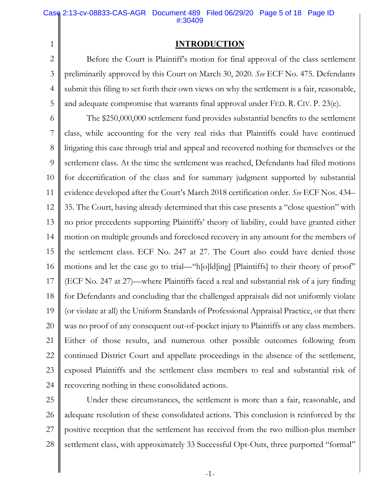<span id="page-4-0"></span>1

2

3

4

5

## <span id="page-4-1"></span>**INTRODUCTION**

Before the Court is Plaintiff's motion for final approval of the class settlement preliminarily approved by this Court on March 30, 2020. *See* ECF No. 475. Defendants submit this filing to set forth their own views on why the settlement is a fair, reasonable, and adequate compromise that warrants final approval under FED. R. CIV. P. 23(e).

6 7 8 9 10 11 12 13 14 15 16 17 18 19 20 21 22 23 24 The \$250,000,000 settlement fund provides substantial benefits to the settlement class, while accounting for the very real risks that Plaintiffs could have continued litigating this case through trial and appeal and recovered nothing for themselves or the settlement class. At the time the settlement was reached, Defendants had filed motions for decertification of the class and for summary judgment supported by substantial evidence developed after the Court's March 2018 certification order. *See* ECF Nos. 434– 35. The Court, having already determined that this case presents a "close question" with no prior precedents supporting Plaintiffs' theory of liability, could have granted either motion on multiple grounds and foreclosed recovery in any amount for the members of the settlement class. ECF No. 247 at 27. The Court also could have denied those motions and let the case go to trial—"h[o]ld[ing] [Plaintiffs] to their theory of proof" (ECF No. 247 at 27)—where Plaintiffs faced a real and substantial risk of a jury finding for Defendants and concluding that the challenged appraisals did not uniformly violate (or violate at all) the Uniform Standards of Professional Appraisal Practice, or that there was no proof of any consequent out-of-pocket injury to Plaintiffs or any class members. Either of those results, and numerous other possible outcomes following from continued District Court and appellate proceedings in the absence of the settlement, exposed Plaintiffs and the settlement class members to real and substantial risk of recovering nothing in these consolidated actions.

25 26 27 28 Under these circumstances, the settlement is more than a fair, reasonable, and adequate resolution of these consolidated actions. This conclusion is reinforced by the positive reception that the settlement has received from the two million-plus member settlement class, with approximately 33 Successful Opt-Outs, three purported "formal"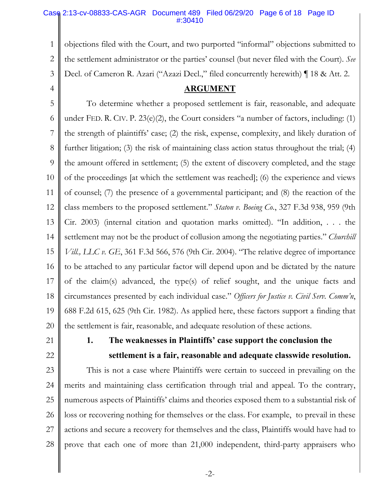### Case 2:13-cv-08833-CAS-AGR Document 489 Filed 06/29/20 Page 6 of 18 Page ID #:30410

1 2 3 objections filed with the Court, and two purported "informal" objections submitted to the settlement administrator or the parties' counsel (but never filed with the Court). *See*  Decl. of Cameron R. Azari ("Azazi Decl.," filed concurrently herewith) ¶ 18 & Att. 2.

<span id="page-5-4"></span><span id="page-5-2"></span>**ARGUMENT**

<span id="page-5-5"></span>5 6 7 8 9 10 11 12 13 14 15 16 17 18 19 20 To determine whether a proposed settlement is fair, reasonable, and adequate under FED. R. CIV. P. 23(e)(2), the Court considers "a number of factors, including: (1) the strength of plaintiffs' case; (2) the risk, expense, complexity, and likely duration of further litigation; (3) the risk of maintaining class action status throughout the trial; (4) the amount offered in settlement; (5) the extent of discovery completed, and the stage of the proceedings [at which the settlement was reached]; (6) the experience and views of counsel; (7) the presence of a governmental participant; and (8) the reaction of the class members to the proposed settlement." *Staton v. Boeing Co.*, 327 F.3d 938, 959 (9th Cir. 2003) (internal citation and quotation marks omitted). "In addition, . . . the settlement may not be the product of collusion among the negotiating parties." *Churchill Vill., LLC v. GE*, 361 F.3d 566, 576 (9th Cir. 2004). "The relative degree of importance to be attached to any particular factor will depend upon and be dictated by the nature of the claim(s) advanced, the type(s) of relief sought, and the unique facts and circumstances presented by each individual case." *Officers for Justice v. Civil Serv. Comm'n*, 688 F.2d 615, 625 (9th Cir. 1982). As applied here, these factors support a finding that the settlement is fair, reasonable, and adequate resolution of these actions.

<span id="page-5-1"></span>21

22

<span id="page-5-0"></span>4

# <span id="page-5-3"></span>**1. The weaknesses in Plaintiffs' case support the conclusion the settlement is a fair, reasonable and adequate classwide resolution.**

23 24 25 26 27 28 This is not a case where Plaintiffs were certain to succeed in prevailing on the merits and maintaining class certification through trial and appeal. To the contrary, numerous aspects of Plaintiffs' claims and theories exposed them to a substantial risk of loss or recovering nothing for themselves or the class. For example, to prevail in these actions and secure a recovery for themselves and the class, Plaintiffs would have had to prove that each one of more than 21,000 independent, third-party appraisers who

-2-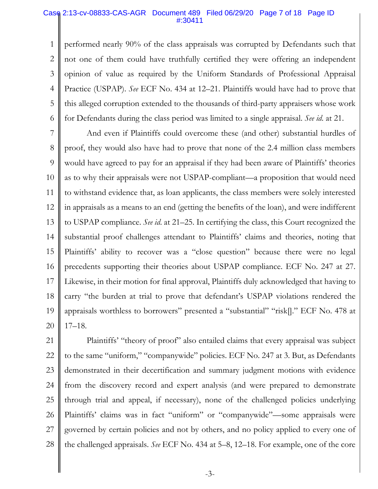#### Case 2:13-cv-08833-CAS-AGR Document 489 Filed 06/29/20 Page 7 of 18 Page ID #:30411

1 2 3 4 5 6 performed nearly 90% of the class appraisals was corrupted by Defendants such that not one of them could have truthfully certified they were offering an independent opinion of value as required by the Uniform Standards of Professional Appraisal Practice (USPAP). *See* ECF No. 434 at 12–21. Plaintiffs would have had to prove that this alleged corruption extended to the thousands of third-party appraisers whose work for Defendants during the class period was limited to a single appraisal. *See id*. at 21.

7 8 9 10 11 12 13 14 15 16 17 18 19 20 And even if Plaintiffs could overcome these (and other) substantial hurdles of proof, they would also have had to prove that none of the 2.4 million class members would have agreed to pay for an appraisal if they had been aware of Plaintiffs' theories as to why their appraisals were not USPAP-compliant—a proposition that would need to withstand evidence that, as loan applicants, the class members were solely interested in appraisals as a means to an end (getting the benefits of the loan), and were indifferent to USPAP compliance. *See id*. at 21–25. In certifying the class, this Court recognized the substantial proof challenges attendant to Plaintiffs' claims and theories, noting that Plaintiffs' ability to recover was a "close question" because there were no legal precedents supporting their theories about USPAP compliance. ECF No. 247 at 27. Likewise, in their motion for final approval, Plaintiffs duly acknowledged that having to carry "the burden at trial to prove that defendant's USPAP violations rendered the appraisals worthless to borrowers" presented a "substantial" "risk[]." ECF No. 478 at 17–18.

21 22 23 24 25 26 27 28 Plaintiffs' "theory of proof" also entailed claims that every appraisal was subject to the same "uniform," "companywide" policies. ECF No. 247 at 3. But, as Defendants demonstrated in their decertification and summary judgment motions with evidence from the discovery record and expert analysis (and were prepared to demonstrate through trial and appeal, if necessary), none of the challenged policies underlying Plaintiffs' claims was in fact "uniform" or "companywide"—some appraisals were governed by certain policies and not by others, and no policy applied to every one of the challenged appraisals. *See* ECF No. 434 at 5–8, 12–18. For example, one of the core

-3-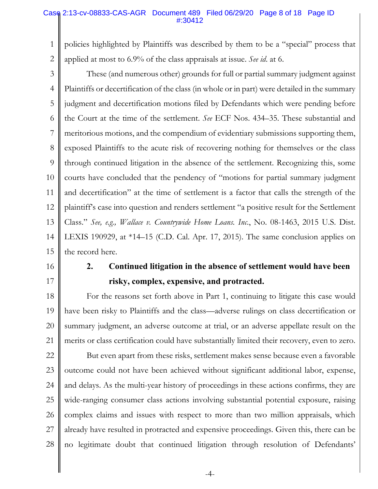### Case 2:13-cv-08833-CAS-AGR Document 489 Filed 06/29/20 Page 8 of 18 Page ID #:30412

- 1 2 policies highlighted by Plaintiffs was described by them to be a "special" process that applied at most to 6.9% of the class appraisals at issue. *See id*. at 6.
- 

3 4 5 6 7 8 9 10 11 12 13 14 15 These (and numerous other) grounds for full or partial summary judgment against Plaintiffs or decertification of the class (in whole or in part) were detailed in the summary judgment and decertification motions filed by Defendants which were pending before the Court at the time of the settlement. *See* ECF Nos. 434–35. These substantial and meritorious motions, and the compendium of evidentiary submissions supporting them, exposed Plaintiffs to the acute risk of recovering nothing for themselves or the class through continued litigation in the absence of the settlement. Recognizing this, some courts have concluded that the pendency of "motions for partial summary judgment and decertification" at the time of settlement is a factor that calls the strength of the plaintiff's case into question and renders settlement "a positive result for the Settlement Class." *See, e.g., Wallace v. Countrywide Home Loans. Inc*., No. 08-1463, 2015 U.S. Dist. LEXIS 190929, at \*14–15 (C.D. Cal. Apr. 17, 2015). The same conclusion applies on the record here.

- <span id="page-7-0"></span>16
- 17

# <span id="page-7-1"></span>**2. Continued litigation in the absence of settlement would have been risky, complex, expensive, and protracted.**

18 19 20 21 For the reasons set forth above in Part 1, continuing to litigate this case would have been risky to Plaintiffs and the class—adverse rulings on class decertification or summary judgment, an adverse outcome at trial, or an adverse appellate result on the merits or class certification could have substantially limited their recovery, even to zero.

22 23 24 25 26 27 28 But even apart from these risks, settlement makes sense because even a favorable outcome could not have been achieved without significant additional labor, expense, and delays. As the multi-year history of proceedings in these actions confirms, they are wide-ranging consumer class actions involving substantial potential exposure, raising complex claims and issues with respect to more than two million appraisals, which already have resulted in protracted and expensive proceedings. Given this, there can be no legitimate doubt that continued litigation through resolution of Defendants'

-4-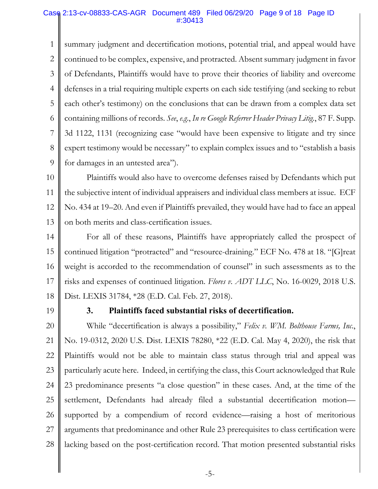### Case 2:13-cv-08833-CAS-AGR Document 489 Filed 06/29/20 Page 9 of 18 Page ID #:30413

<span id="page-8-3"></span>1 2 3 4 5 6 7 8 9 summary judgment and decertification motions, potential trial, and appeal would have continued to be complex, expensive, and protracted. Absent summary judgment in favor of Defendants, Plaintiffs would have to prove their theories of liability and overcome defenses in a trial requiring multiple experts on each side testifying (and seeking to rebut each other's testimony) on the conclusions that can be drawn from a complex data set containing millions of records. *See*, *e.g*., *In re Google Referrer Header Privacy Litig.*, 87 F. Supp. 3d 1122, 1131 (recognizing case "would have been expensive to litigate and try since expert testimony would be necessary" to explain complex issues and to "establish a basis for damages in an untested area").

10 11 12 13 Plaintiffs would also have to overcome defenses raised by Defendants which put the subjective intent of individual appraisers and individual class members at issue. ECF No. 434 at 19–20. And even if Plaintiffs prevailed, they would have had to face an appeal on both merits and class-certification issues.

14 15 16 17 18 For all of these reasons, Plaintiffs have appropriately called the prospect of continued litigation "protracted" and "resource-draining." ECF No. 478 at 18. "[G]reat weight is accorded to the recommendation of counsel" in such assessments as to the risks and expenses of continued litigation. *Flores v. ADT LLC*, No. 16-0029, 2018 U.S. Dist. LEXIS 31784, \*28 (E.D. Cal. Feb. 27, 2018).

<span id="page-8-0"></span>19

### <span id="page-8-2"></span>**3. Plaintiffs faced substantial risks of decertification.**

20 21 22 23 24 25 26 27 28 While "decertification is always a possibility," *Felix v. WM. Bolthouse Farms, Inc*., No. 19-0312, 2020 U.S. Dist. LEXIS 78280, \*22 (E.D. Cal. May 4, 2020), the risk that Plaintiffs would not be able to maintain class status through trial and appeal was particularly acute here. Indeed, in certifying the class, this Court acknowledged that Rule 23 predominance presents "a close question" in these cases. And, at the time of the settlement, Defendants had already filed a substantial decertification motion supported by a compendium of record evidence—raising a host of meritorious arguments that predominance and other Rule 23 prerequisites to class certification were lacking based on the post-certification record. That motion presented substantial risks

<span id="page-8-4"></span><span id="page-8-1"></span>-5-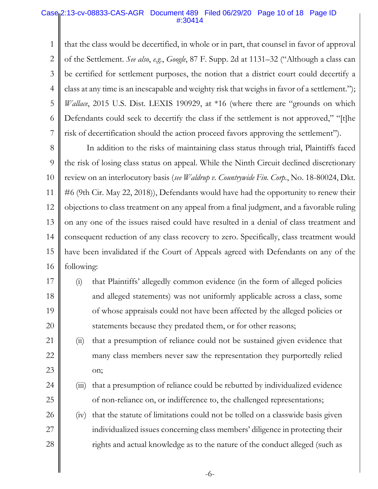### Case<sub>ll</sub> 2:13-cv-08833-CAS-AGR Document 489 Filed 06/29/20 Page 10 of 18 Page ID #:30414

<span id="page-9-0"></span>1 2 3 4 5 6 7 that the class would be decertified, in whole or in part, that counsel in favor of approval of the Settlement. *See also*, *e.g.*, *Google*, 87 F. Supp. 2d at 1131–32 ("Although a class can be certified for settlement purposes, the notion that a district court could decertify a class at any time is an inescapable and weighty risk that weighs in favor of a settlement."); *Wallace*, 2015 U.S. Dist. LEXIS 190929, at \*16 (where there are "grounds on which Defendants could seek to decertify the class if the settlement is not approved," "[t]he risk of decertification should the action proceed favors approving the settlement").

<span id="page-9-2"></span><span id="page-9-1"></span>8 9 10 11 12 13 14 15 16 In addition to the risks of maintaining class status through trial, Plaintiffs faced the risk of losing class status on appeal. While the Ninth Circuit declined discretionary review on an interlocutory basis (*see Waldrup v. Countrywide Fin. Corp.*, No. 18-80024, Dkt. #6 (9th Cir. May 22, 2018)), Defendants would have had the opportunity to renew their objections to class treatment on any appeal from a final judgment, and a favorable ruling on any one of the issues raised could have resulted in a denial of class treatment and consequent reduction of any class recovery to zero. Specifically, class treatment would have been invalidated if the Court of Appeals agreed with Defendants on any of the following:

- 17 18 19 20 (i) that Plaintiffs' allegedly common evidence (in the form of alleged policies and alleged statements) was not uniformly applicable across a class, some of whose appraisals could not have been affected by the alleged policies or statements because they predated them, or for other reasons;
	- (ii) that a presumption of reliance could not be sustained given evidence that many class members never saw the representation they purportedly relied on;

21

22

23

24

25

26

27

28

- (iii) that a presumption of reliance could be rebutted by individualized evidence of non-reliance on, or indifference to, the challenged representations;
- (iv) that the statute of limitations could not be tolled on a classwide basis given individualized issues concerning class members' diligence in protecting their rights and actual knowledge as to the nature of the conduct alleged (such as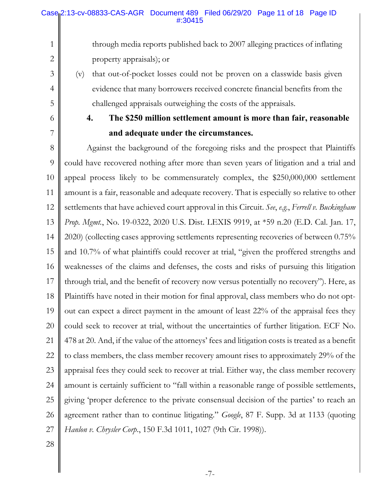through media reports published back to 2007 alleging practices of inflating property appraisals); or

- (v) that out-of-pocket losses could not be proven on a classwide basis given evidence that many borrowers received concrete financial benefits from the challenged appraisals outweighing the costs of the appraisals.
- <span id="page-10-0"></span>6 7

1

2

3

4

5

<span id="page-10-1"></span>**4. The \$250 million settlement amount is more than fair, reasonable and adequate under the circumstances.**

8 9 10 11 12 13 14 15 16 17 18 19 20 21 22 23 24 25 26 27 Against the background of the foregoing risks and the prospect that Plaintiffs could have recovered nothing after more than seven years of litigation and a trial and appeal process likely to be commensurately complex, the \$250,000,000 settlement amount is a fair, reasonable and adequate recovery. That is especially so relative to other settlements that have achieved court approval in this Circuit. *See*, *e.g.*, *Ferrell v. Buckingham Prop. Mgmt.*, No. 19-0322, 2020 U.S. Dist. LEXIS 9919, at \*59 n.20 (E.D. Cal. Jan. 17, 2020) (collecting cases approving settlements representing recoveries of between 0.75% and 10.7% of what plaintiffs could recover at trial, "given the proffered strengths and weaknesses of the claims and defenses, the costs and risks of pursuing this litigation through trial, and the benefit of recovery now versus potentially no recovery"). Here, as Plaintiffs have noted in their motion for final approval, class members who do not optout can expect a direct payment in the amount of least 22% of the appraisal fees they could seek to recover at trial, without the uncertainties of further litigation. ECF No. 478 at 20. And, if the value of the attorneys' fees and litigation costs is treated as a benefit to class members, the class member recovery amount rises to approximately 29% of the appraisal fees they could seek to recover at trial. Either way, the class member recovery amount is certainly sufficient to "fall within a reasonable range of possible settlements, giving 'proper deference to the private consensual decision of the parties' to reach an agreement rather than to continue litigating." *Google*, 87 F. Supp. 3d at 1133 (quoting *Hanlon v. Chrysler Corp*., 150 F.3d 1011, 1027 (9th Cir. 1998)).

<span id="page-10-3"></span><span id="page-10-2"></span>28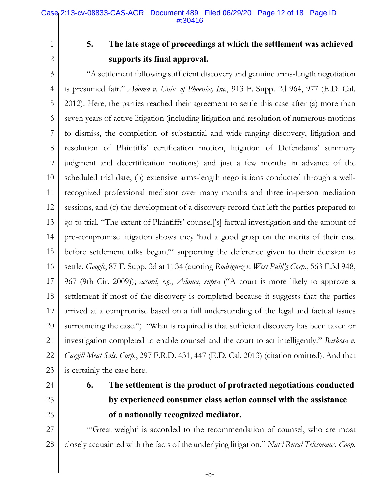2

<span id="page-11-0"></span>1

# <span id="page-11-2"></span>**5. The late stage of proceedings at which the settlement was achieved supports its final approval.**

3 4 5 6 7 8 9 10 11 12 13 14 15 16 17 18 19 20 21 22 23 "A settlement following sufficient discovery and genuine arms-length negotiation is presumed fair." *Adoma v. Univ. of Phoenix, Inc*., 913 F. Supp. 2d 964, 977 (E.D. Cal. 2012). Here, the parties reached their agreement to settle this case after (a) more than seven years of active litigation (including litigation and resolution of numerous motions to dismiss, the completion of substantial and wide-ranging discovery, litigation and resolution of Plaintiffs' certification motion, litigation of Defendants' summary judgment and decertification motions) and just a few months in advance of the scheduled trial date, (b) extensive arms-length negotiations conducted through a wellrecognized professional mediator over many months and three in-person mediation sessions, and (c) the development of a discovery record that left the parties prepared to go to trial. "The extent of Plaintiffs' counsel['s] factual investigation and the amount of pre-compromise litigation shows they 'had a good grasp on the merits of their case before settlement talks began,'" supporting the deference given to their decision to settle. *Google*, 87 F. Supp. 3d at 1134 (quoting *Rodriguez v. West Publ'g Corp*., 563 F.3d 948, 967 (9th Cir. 2009)); *accord*, *e.g.*, *Adoma*, *supra* ("A court is more likely to approve a settlement if most of the discovery is completed because it suggests that the parties arrived at a compromise based on a full understanding of the legal and factual issues surrounding the case."). "What is required is that sufficient discovery has been taken or investigation completed to enable counsel and the court to act intelligently." *Barbosa v. Cargill Meat Sols. Corp*., 297 F.R.D. 431, 447 (E.D. Cal. 2013) (citation omitted). And that is certainly the case here.

- <span id="page-11-1"></span>24
- 25 26

<span id="page-11-6"></span><span id="page-11-5"></span><span id="page-11-4"></span><span id="page-11-3"></span>**6. The settlement is the product of protracted negotiations conducted by experienced consumer class action counsel with the assistance of a nationally recognized mediator.**

27 28 "'Great weight' is accorded to the recommendation of counsel, who are most closely acquainted with the facts of the underlying litigation." *Nat'l Rural Telecomms. Coop.*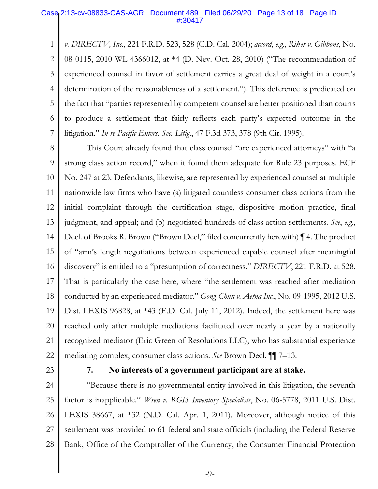<span id="page-12-4"></span>1 2 3 4 5 6 7 *v. DIRECTV, Inc.*, 221 F.R.D. 523, 528 (C.D. Cal. 2004); *accord*, *e.g.*, *Riker v. Gibbons*, No. 08-0115, 2010 WL 4366012, at \*4 (D. Nev. Oct. 28, 2010) ("The recommendation of experienced counsel in favor of settlement carries a great deal of weight in a court's determination of the reasonableness of a settlement."). This deference is predicated on the fact that "parties represented by competent counsel are better positioned than courts to produce a settlement that fairly reflects each party's expected outcome in the litigation." *In re Pacific Enters. Sec. Litig*., 47 F.3d 373, 378 (9th Cir. 1995).

<span id="page-12-6"></span><span id="page-12-3"></span>8 9 10 11 12 13 14 15 16 17 18 19 20 21 22 This Court already found that class counsel "are experienced attorneys" with "a strong class action record," when it found them adequate for Rule 23 purposes. ECF No. 247 at 23. Defendants, likewise, are represented by experienced counsel at multiple nationwide law firms who have (a) litigated countless consumer class actions from the initial complaint through the certification stage, dispositive motion practice, final judgment, and appeal; and (b) negotiated hundreds of class action settlements. *See*, *e.g.*, Decl. of Brooks R. Brown ("Brown Decl," filed concurrently herewith) ¶ 4. The product of "arm's length negotiations between experienced capable counsel after meaningful discovery" is entitled to a "presumption of correctness." *DIRECTV*, 221 F.R.D. at 528. That is particularly the case here, where "the settlement was reached after mediation conducted by an experienced mediator." *Gong-Chun v. Aetna Inc*., No. 09-1995, 2012 U.S. Dist. LEXIS 96828, at \*43 (E.D. Cal. July 11, 2012). Indeed, the settlement here was reached only after multiple mediations facilitated over nearly a year by a nationally recognized mediator (Eric Green of Resolutions LLC), who has substantial experience mediating complex, consumer class actions. *See* Brown Decl. ¶¶ 7–13.

<span id="page-12-0"></span>23

### <span id="page-12-5"></span><span id="page-12-2"></span><span id="page-12-1"></span>**7. No interests of a government participant are at stake.**

24 25 26 27 28 "Because there is no governmental entity involved in this litigation, the seventh factor is inapplicable." *Wren v. RGIS Inventory Specialists*, No. 06-5778, 2011 U.S. Dist. LEXIS 38667, at \*32 (N.D. Cal. Apr. 1, 2011). Moreover, although notice of this settlement was provided to 61 federal and state officials (including the Federal Reserve Bank, Office of the Comptroller of the Currency, the Consumer Financial Protection

-9-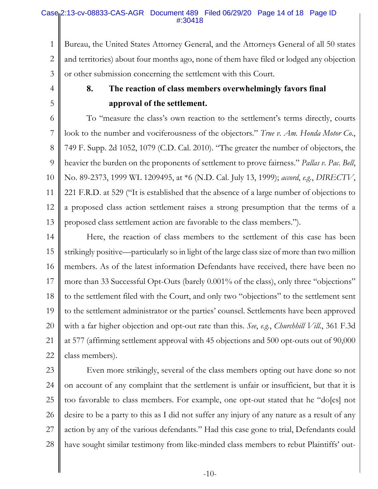### Case<sub>ll</sub> 2:13-cv-08833-CAS-AGR Document 489 Filed 06/29/20 Page 14 of 18 Page ID #:30418

1 2 3 Bureau, the United States Attorney General, and the Attorneys General of all 50 states and territories) about four months ago, none of them have filed or lodged any objection or other submission concerning the settlement with this Court.

# <span id="page-13-0"></span>4

5

# <span id="page-13-4"></span><span id="page-13-3"></span><span id="page-13-2"></span>**8. The reaction of class members overwhelmingly favors final approval of the settlement.**

6 7 8 9 10 11 12 13 To "measure the class's own reaction to the settlement's terms directly, courts look to the number and vociferousness of the objectors." *True v. Am. Honda Motor Co*., 749 F. Supp. 2d 1052, 1079 (C.D. Cal. 2010). "The greater the number of objectors, the heavier the burden on the proponents of settlement to prove fairness." *Pallas v. Pac. Bell*, No. 89-2373, 1999 WL 1209495, at \*6 (N.D. Cal. July 13, 1999); *accord*, *e.g.*, *DIRECTV*, 221 F.R.D. at 529 ("It is established that the absence of a large number of objections to a proposed class action settlement raises a strong presumption that the terms of a proposed class settlement action are favorable to the class members.").

14 15 16 17 18 19 20 21 22 Here, the reaction of class members to the settlement of this case has been strikingly positive—particularly so in light of the large class size of more than two million members. As of the latest information Defendants have received, there have been no more than 33 Successful Opt-Outs (barely 0.001% of the class), only three "objections" to the settlement filed with the Court, and only two "objections" to the settlement sent to the settlement administrator or the parties' counsel. Settlements have been approved with a far higher objection and opt-out rate than this. *See*, *e.g.*, *Churchhill Vill.*, 361 F.3d at 577 (affirming settlement approval with 45 objections and 500 opt-outs out of 90,000 class members).

<span id="page-13-1"></span>23 24 25 26 27 28 Even more strikingly, several of the class members opting out have done so not on account of any complaint that the settlement is unfair or insufficient, but that it is too favorable to class members. For example, one opt-out stated that he "do[es] not desire to be a party to this as I did not suffer any injury of any nature as a result of any action by any of the various defendants." Had this case gone to trial, Defendants could have sought similar testimony from like-minded class members to rebut Plaintiffs' out-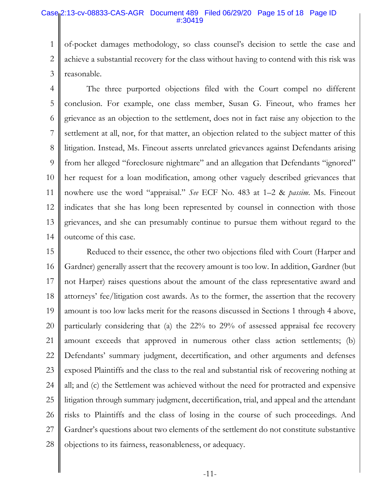#### Case<sub>l</sub> 2:13-cv-08833-CAS-AGR Document 489 Filed 06/29/20 Page 15 of 18 Page ID #:30419

1 2 3 of-pocket damages methodology, so class counsel's decision to settle the case and achieve a substantial recovery for the class without having to contend with this risk was reasonable.

4 5 6 7 8 9 10 11 12 13 14 The three purported objections filed with the Court compel no different conclusion. For example, one class member, Susan G. Fineout, who frames her grievance as an objection to the settlement, does not in fact raise any objection to the settlement at all, nor, for that matter, an objection related to the subject matter of this litigation. Instead, Ms. Fineout asserts unrelated grievances against Defendants arising from her alleged "foreclosure nightmare" and an allegation that Defendants "ignored" her request for a loan modification, among other vaguely described grievances that nowhere use the word "appraisal." *See* ECF No. 483 at 1–2 & *passim*. Ms. Fineout indicates that she has long been represented by counsel in connection with those grievances, and she can presumably continue to pursue them without regard to the outcome of this case.

15 16 17 18 19 20 21 22 23 24 25 26 27 28 Reduced to their essence, the other two objections filed with Court (Harper and Gardner) generally assert that the recovery amount is too low. In addition, Gardner (but not Harper) raises questions about the amount of the class representative award and attorneys' fee/litigation cost awards. As to the former, the assertion that the recovery amount is too low lacks merit for the reasons discussed in Sections 1 through 4 above, particularly considering that (a) the 22% to 29% of assessed appraisal fee recovery amount exceeds that approved in numerous other class action settlements; (b) Defendants' summary judgment, decertification, and other arguments and defenses exposed Plaintiffs and the class to the real and substantial risk of recovering nothing at all; and (c) the Settlement was achieved without the need for protracted and expensive litigation through summary judgment, decertification, trial, and appeal and the attendant risks to Plaintiffs and the class of losing in the course of such proceedings. And Gardner's questions about two elements of the settlement do not constitute substantive objections to its fairness, reasonableness, or adequacy.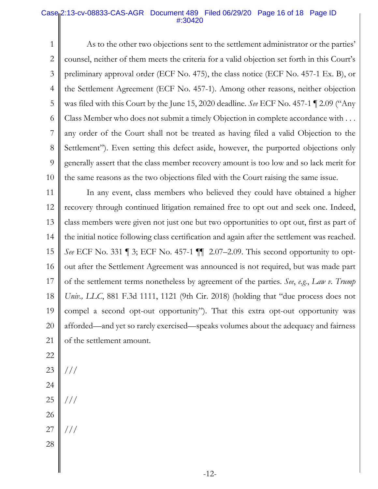### Case<sub>l</sub> 2:13-cv-08833-CAS-AGR Document 489 Filed 06/29/20 Page 16 of 18 Page ID #:30420

1 2 3 4 5 6 7 8 9 10 As to the other two objections sent to the settlement administrator or the parties' counsel, neither of them meets the criteria for a valid objection set forth in this Court's preliminary approval order (ECF No. 475), the class notice (ECF No. 457-1 Ex. B), or the Settlement Agreement (ECF No. 457-1). Among other reasons, neither objection was filed with this Court by the June 15, 2020 deadline. *See* ECF No. 457-1 ¶ 2.09 ("Any Class Member who does not submit a timely Objection in complete accordance with . . . any order of the Court shall not be treated as having filed a valid Objection to the Settlement"). Even setting this defect aside, however, the purported objections only generally assert that the class member recovery amount is too low and so lack merit for the same reasons as the two objections filed with the Court raising the same issue.

11 12 13 14 15 16 17 18 19 20 21 In any event, class members who believed they could have obtained a higher recovery through continued litigation remained free to opt out and seek one. Indeed, class members were given not just one but two opportunities to opt out, first as part of the initial notice following class certification and again after the settlement was reached. *See* ECF No. 331 ¶ 3; ECF No. 457-1 ¶¶ 2.07–2.09. This second opportunity to optout after the Settlement Agreement was announced is not required, but was made part of the settlement terms nonetheless by agreement of the parties. *See*, *e.g.*, *Law v. Trump Univ., LLC*, 881 F.3d 1111, 1121 (9th Cir. 2018) (holding that "due process does not compel a second opt-out opportunity"). That this extra opt-out opportunity was afforded—and yet so rarely exercised—speaks volumes about the adequacy and fairness of the settlement amount.

<span id="page-15-0"></span>-12-

- 22
- 23 ///
- 24
- 25 ///
- 26
- 27

///

28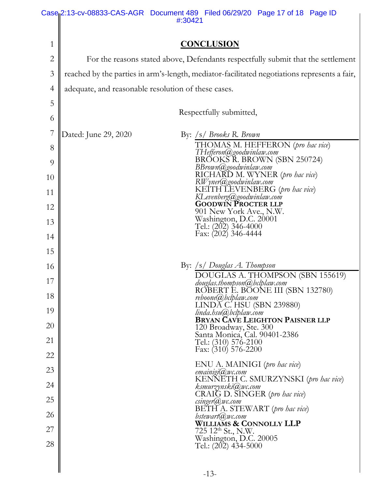<span id="page-16-0"></span>

|                | Case <sub>l</sub> 2:13-cv-08833-CAS-AGR Document 489 Filed 06/29/20 Page 17 of 18 Page ID<br>#:30421 |
|----------------|------------------------------------------------------------------------------------------------------|
|                |                                                                                                      |
| $\mathbf{1}$   | <u>CONCLUSION</u>                                                                                    |
| $\overline{2}$ | For the reasons stated above, Defendants respectfully submit that the settlement                     |
| $\mathfrak{Z}$ | reached by the parties in arm's-length, mediator-facilitated negotiations represents a fair,         |
| $\overline{4}$ | adequate, and reasonable resolution of these cases.                                                  |
| 5              |                                                                                                      |
| 6              | Respectfully submitted,                                                                              |
| 7              | Dated: June 29, 2020<br>By: /s/ <i>Brooks R. Brown</i>                                               |
| 8              | THOMAS M. HEFFERON (pro hac vice)<br>THefferon@goodwinlaw.com                                        |
| 9              | BBrown@goodwinlaw.com                                                                                |
| 10             | RICHARD M. WYNER (pro hac vice)<br>RWyner@goodwinlaw.com                                             |
| 11             | KEITH LEVENBERG (pro hac vice)<br>KLevenberg@goodwinlaw.com                                          |
| 12             | <b>GOODWIN PROCTER LLP</b><br>901 New York Ave., N.W.                                                |
| 13             | Washington, D.C. 20001<br>Tel.: $(202)$ 346-4000                                                     |
| 14             | Fax: (202) 346-4444                                                                                  |
| 15             |                                                                                                      |
| 16             | By: /s/ Douglas A. Thompson                                                                          |
| 17             | DOUGLAS A. THOMPSON (SBN 155619)<br>douglas.thompson@hclplaw.com                                     |
| 18             | ROBERT E. BOONE III (SBN 132780)<br>reboone@hclplaw.com                                              |
| 19             | LINDĂ C. HSU (SBN 239880)<br>linda.hsu@.bclplaw.com                                                  |
| 20             | <b>BRYAN CAVE LEIGHTON PAISNER LLP</b><br>120 Broadway, Ste. 300                                     |
| 21             | Santa Monica, Cal. 90401-2386<br>Tel.: (310) 576-2100                                                |
| 22             | Fax: (310) 576-2200                                                                                  |
| 23             | ENU A. MAINIGI (pro hac vice)<br>emainizi(Q)wc.com                                                   |
| 24             | KENNETH C. SMURZYNSKI (pro hac vice)<br>ksmurzynski@wc.com                                           |
| 25             | CRAIG D. SINGER (pro hac vice)<br>$\mathit{csinger}(a)$ <i>wc.com</i>                                |
| 26             | <b>BETH A. STEWART</b> (pro hac vice)<br>bstewart@wc.com<br><b>WILLIAMS &amp; CONNOLLY LLP</b>       |
| 27             | 725 12 <sup>th</sup> St., N.W.<br>Washington, D.C. 20005                                             |
| 28             | Tel.: (202) 434-5000                                                                                 |
|                |                                                                                                      |
|                | 1 <sub>2</sub>                                                                                       |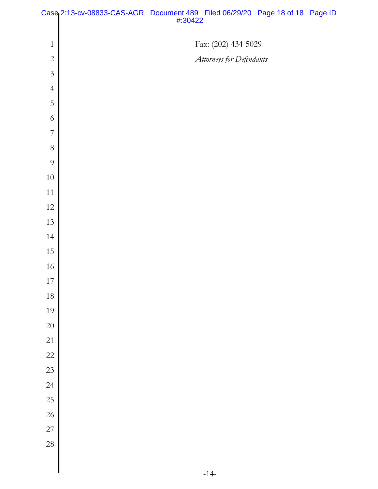|                | Case 2:13-cv-08833-CAS-AGR Document 489 Filed 06/29/20 Page 18 of 18 Page ID<br>#:30422 |                          |  |
|----------------|-----------------------------------------------------------------------------------------|--------------------------|--|
|                |                                                                                         |                          |  |
| $\mathbf{1}$   |                                                                                         | Fax: (202) 434-5029      |  |
| $\sqrt{2}$     |                                                                                         | Attorneys for Defendants |  |
| $\mathfrak{Z}$ |                                                                                         |                          |  |
| $\overline{4}$ |                                                                                         |                          |  |
| 5              |                                                                                         |                          |  |
| 6              |                                                                                         |                          |  |
| $\overline{7}$ |                                                                                         |                          |  |
| $8\,$          |                                                                                         |                          |  |
| $\overline{9}$ |                                                                                         |                          |  |
| $10\,$         |                                                                                         |                          |  |
| $11\,$         |                                                                                         |                          |  |
| $12\,$         |                                                                                         |                          |  |
| 13             |                                                                                         |                          |  |
| $14\,$         |                                                                                         |                          |  |
| 15             |                                                                                         |                          |  |
| $16\,$         |                                                                                         |                          |  |
| $17\,$         |                                                                                         |                          |  |
| $18\,$         |                                                                                         |                          |  |
| 19             |                                                                                         |                          |  |
| 20             |                                                                                         |                          |  |
| 21             |                                                                                         |                          |  |
| 22             |                                                                                         |                          |  |
| 23             |                                                                                         |                          |  |
| 24             |                                                                                         |                          |  |
| 25             |                                                                                         |                          |  |
| 26             |                                                                                         |                          |  |
| $27\,$         |                                                                                         |                          |  |
| 28             |                                                                                         |                          |  |
|                |                                                                                         |                          |  |
|                |                                                                                         | .14                      |  |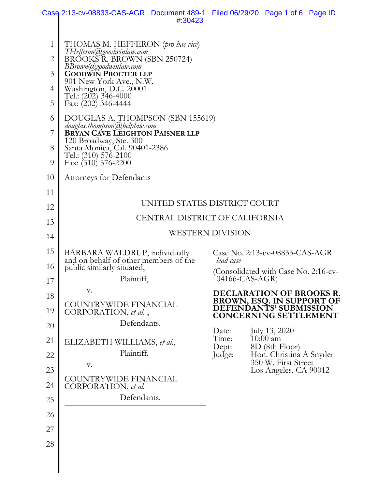|                | Case 2:13-cv-08833-CAS-AGR Document 489-1 Filed 06/29/20 Page 1 of 6 Page ID | #:30423 |                                                                     |                                                |  |
|----------------|------------------------------------------------------------------------------|---------|---------------------------------------------------------------------|------------------------------------------------|--|
|                |                                                                              |         |                                                                     |                                                |  |
| $\mathbf{1}$   | THOMAS M. HEFFERON (pro hac vice)<br>THefferon@goodwinlaw.com                |         |                                                                     |                                                |  |
| $\overline{2}$ | BRŐOKŠŘ. BROWN (SBN 250724)<br>BBrown@goodwinlaw.com                         |         |                                                                     |                                                |  |
| 3              | <b>GOODWIN PROCTER LLP</b><br>901 New York Ave., N.W.                        |         |                                                                     |                                                |  |
| 4<br>5         | Washington, D.C. 20001<br>Tel.: (202) 346-4000<br>Fax: (202) 346-4444        |         |                                                                     |                                                |  |
| 6              | DOUGLAS A. THOMPSON (SBN 155619)                                             |         |                                                                     |                                                |  |
| 7              | douglas.thompson@hclplaw.com<br><b>BRYAN CAVE LEIGHTON PAISNER LLP</b>       |         |                                                                     |                                                |  |
| 8              | 120 Broadway, Ste. 300<br>Santa Monica, Cal. 90401-2386                      |         |                                                                     |                                                |  |
| 9              | Tel.: (310) 576-2100<br>Fax: (310) 576-2200                                  |         |                                                                     |                                                |  |
| 10             | <b>Attorneys for Defendants</b>                                              |         |                                                                     |                                                |  |
| 11             |                                                                              |         |                                                                     |                                                |  |
| 12             | UNITED STATES DISTRICT COURT                                                 |         |                                                                     |                                                |  |
| 13             | CENTRAL DISTRICT OF CALIFORNIA                                               |         |                                                                     |                                                |  |
| 14             |                                                                              |         | <b>WESTERN DIVISION</b>                                             |                                                |  |
| 15             | BARBARA WALDRUP, individually<br>and on behalf of other members of the       |         | Case No. 2:13-cv-08833-CAS-AGR<br>lead case                         |                                                |  |
| 16             | public similarly situated,                                                   |         | (Consolidated with Case No. 2:16-cv-                                |                                                |  |
| 17             | Plaintiff,                                                                   |         | $04166$ -CAS-AGR)                                                   |                                                |  |
| 18             | V.                                                                           |         | <b>DECLARATION OF BROOKS R.</b><br><b>BROWN, ESQ. IN SUPPORT OF</b> |                                                |  |
| 19             | COUNTRYWIDE FINANCIAL<br>CORPORATION, et al.,                                |         | DEFENDANTS' SUBMISSION<br><b>CONCERNING SETTLEMENT</b>              |                                                |  |
| 20             | Defendants.                                                                  |         | Date:                                                               | July 13, 2020                                  |  |
| 21             | ELIZABETH WILLIAMS, et al.,                                                  |         | Time:<br>Dept:                                                      | $10:00$ am<br>8D (8th Floor)                   |  |
| 22             | Plaintiff,<br>V.                                                             |         | Judge:                                                              | Hon. Christina A Snyder<br>350 W. First Street |  |
| 23             | COUNTRYWIDE FINANCIAL                                                        |         |                                                                     | Los Angeles, CA 90012                          |  |
| 24             | CORPORATION, et al.                                                          |         |                                                                     |                                                |  |
| 25             | Defendants.                                                                  |         |                                                                     |                                                |  |
| 26             |                                                                              |         |                                                                     |                                                |  |
| 27             |                                                                              |         |                                                                     |                                                |  |
| 28             |                                                                              |         |                                                                     |                                                |  |
|                |                                                                              |         |                                                                     |                                                |  |
|                |                                                                              |         |                                                                     |                                                |  |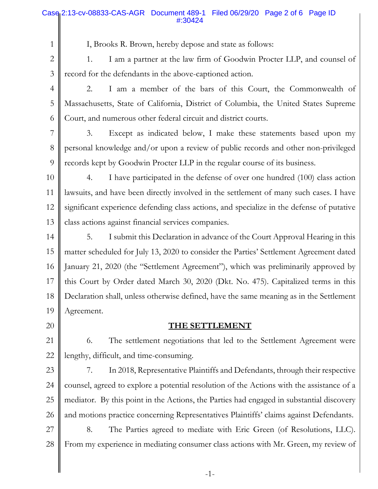### Case 2:13-cv-08833-CAS-AGR Document 489-1 Filed 06/29/20 Page 2 of 6 Page ID #:30424

I, Brooks R. Brown, hereby depose and state as follows:

2 3 1. I am a partner at the law firm of Goodwin Procter LLP, and counsel of record for the defendants in the above-captioned action.

4

5

6

1

2. I am a member of the bars of this Court, the Commonwealth of Massachusetts, State of California, District of Columbia, the United States Supreme Court, and numerous other federal circuit and district courts.

7 8

9

3. Except as indicated below, I make these statements based upon my personal knowledge and/or upon a review of public records and other non-privileged records kept by Goodwin Procter LLP in the regular course of its business.

10 11 12 13 4. I have participated in the defense of over one hundred (100) class action lawsuits, and have been directly involved in the settlement of many such cases. I have significant experience defending class actions, and specialize in the defense of putative class actions against financial services companies.

14 15 16 17 18 19 5. I submit this Declaration in advance of the Court Approval Hearing in this matter scheduled for July 13, 2020 to consider the Parties' Settlement Agreement dated January 21, 2020 (the "Settlement Agreement"), which was preliminarily approved by this Court by Order dated March 30, 2020 (Dkt. No. 475). Capitalized terms in this Declaration shall, unless otherwise defined, have the same meaning as in the Settlement Agreement.

20

# **THE SETTLEMENT**

21 22 6. The settlement negotiations that led to the Settlement Agreement were lengthy, difficult, and time-consuming.

23

25

26

24 7. In 2018, Representative Plaintiffs and Defendants, through their respective counsel, agreed to explore a potential resolution of the Actions with the assistance of a mediator. By this point in the Actions, the Parties had engaged in substantial discovery and motions practice concerning Representatives Plaintiffs' claims against Defendants.

27 28 8. The Parties agreed to mediate with Eric Green (of Resolutions, LLC). From my experience in mediating consumer class actions with Mr. Green, my review of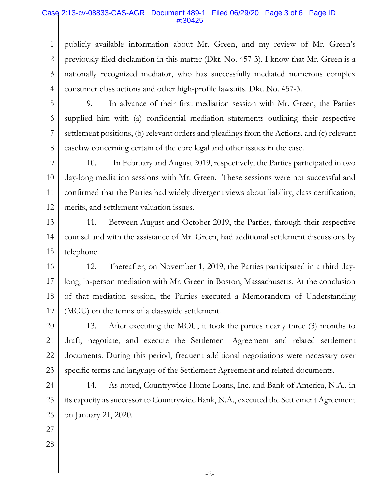### Case 2:13-cv-08833-CAS-AGR Document 489-1 Filed 06/29/20 Page 3 of 6 Page ID #:30425

1 2 3 4 publicly available information about Mr. Green, and my review of Mr. Green's previously filed declaration in this matter (Dkt. No. 457-3), I know that Mr. Green is a nationally recognized mediator, who has successfully mediated numerous complex consumer class actions and other high-profile lawsuits. Dkt. No. 457-3.

5 6 7 8 9. In advance of their first mediation session with Mr. Green, the Parties supplied him with (a) confidential mediation statements outlining their respective settlement positions, (b) relevant orders and pleadings from the Actions, and (c) relevant caselaw concerning certain of the core legal and other issues in the case.

9 10 11 12 10. In February and August 2019, respectively, the Parties participated in two day-long mediation sessions with Mr. Green. These sessions were not successful and confirmed that the Parties had widely divergent views about liability, class certification, merits, and settlement valuation issues.

13 14 15 11. Between August and October 2019, the Parties, through their respective counsel and with the assistance of Mr. Green, had additional settlement discussions by telephone.

16 17 18 19 12. Thereafter, on November 1, 2019, the Parties participated in a third daylong, in-person mediation with Mr. Green in Boston, Massachusetts. At the conclusion of that mediation session, the Parties executed a Memorandum of Understanding (MOU) on the terms of a classwide settlement.

20 21 22 23 13. After executing the MOU, it took the parties nearly three (3) months to draft, negotiate, and execute the Settlement Agreement and related settlement documents. During this period, frequent additional negotiations were necessary over specific terms and language of the Settlement Agreement and related documents.

24 25 26 14. As noted, Countrywide Home Loans, Inc. and Bank of America, N.A., in its capacity as successor to Countrywide Bank, N.A., executed the Settlement Agreement on January 21, 2020.

- 27
- 28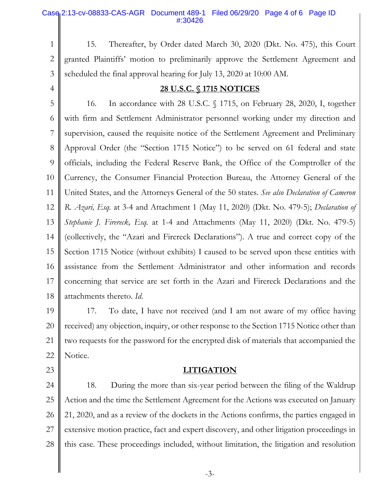### Case 2:13-cv-08833-CAS-AGR Document 489-1 Filed 06/29/20 Page 4 of 6 Page ID #:30426

- 1 2 3 15. Thereafter, by Order dated March 30, 2020 (Dkt. No. 475), this Court granted Plaintiffs' motion to preliminarily approve the Settlement Agreement and scheduled the final approval hearing for July 13, 2020 at 10:00 AM.
- 4

### **28 U.S.C. § 1715 NOTICES**

5 6 7 8 9 10 11 12 13 14 15 16 17 18 16. In accordance with 28 U.S.C. § 1715, on February 28, 2020, I, together with firm and Settlement Administrator personnel working under my direction and supervision, caused the requisite notice of the Settlement Agreement and Preliminary Approval Order (the "Section 1715 Notice") to be served on 61 federal and state officials, including the Federal Reserve Bank, the Office of the Comptroller of the Currency, the Consumer Financial Protection Bureau, the Attorney General of the United States, and the Attorneys General of the 50 states. *See also Declaration of Cameron R. Azari, Esq.* at 3-4 and Attachment 1 (May 11, 2020) (Dkt. No. 479-5); *Declaration of Stephanie J. Firereck, Esq.* at 1-4 and Attachments (May 11, 2020) (Dkt. No. 479-5) (collectively, the "Azari and Firereck Declarations"). A true and correct copy of the Section 1715 Notice (without exhibits) I caused to be served upon these entities with assistance from the Settlement Administrator and other information and records concerning that service are set forth in the Azari and Firereck Declarations and the attachments thereto. *Id.*

19 20 21 22 17. To date, I have not received (and I am not aware of my office having received) any objection, inquiry, or other response to the Section 1715 Notice other than two requests for the password for the encrypted disk of materials that accompanied the Notice.

- 23
- 

### **LITIGATION**

24 25 26 27 28 18. During the more than six-year period between the filing of the Waldrup Action and the time the Settlement Agreement for the Actions was executed on January 21, 2020, and as a review of the dockets in the Actions confirms, the parties engaged in extensive motion practice, fact and expert discovery, and other litigation proceedings in this case. These proceedings included, without limitation, the litigation and resolution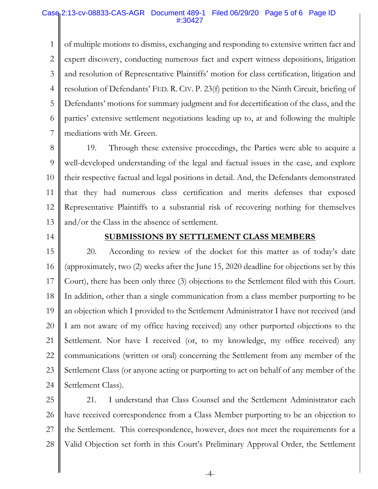#### Case 2:13-cv-08833-CAS-AGR Document 489-1 Filed 06/29/20 Page 5 of 6 Page ID #:30427

1 2 3 4 5 6 7 of multiple motions to dismiss, exchanging and responding to extensive written fact and expert discovery, conducting numerous fact and expert witness depositions, litigation and resolution of Representative Plaintiffs' motion for class certification, litigation and resolution of Defendants' FED. R. CIV. P. 23(f) petition to the Ninth Circuit, briefing of Defendants' motions for summary judgment and for decertification of the class, and the parties' extensive settlement negotiations leading up to, at and following the multiple mediations with Mr. Green.

8 9 10 11 12 13 19. Through these extensive proceedings, the Parties were able to acquire a well-developed understanding of the legal and factual issues in the case, and explore their respective factual and legal positions in detail. And, the Defendants demonstrated that they had numerous class certification and merits defenses that exposed Representative Plaintiffs to a substantial risk of recovering nothing for themselves and/or the Class in the absence of settlement.

14

### **SUBMISSIONS BY SETTLEMENT CLASS MEMBERS**

15 16 17 18 19 20 21 22 23 24 20. According to review of the docket for this matter as of today's date (approximately, two (2) weeks after the June 15, 2020 deadline for objections set by this Court), there has been only three (3) objections to the Settlement filed with this Court. In addition, other than a single communication from a class member purporting to be an objection which I provided to the Settlement Administrator I have not received (and I am not aware of my office having received) any other purported objections to the Settlement. Nor have I received (or, to my knowledge, my office received) any communications (written or oral) concerning the Settlement from any member of the Settlement Class (or anyone acting or purporting to act on behalf of any member of the Settlement Class).

25 26 27 28 21. I understand that Class Counsel and the Settlement Administrator each have received correspondence from a Class Member purporting to be an objection to the Settlement. This correspondence, however, does not meet the requirements for a Valid Objection set forth in this Court's Preliminary Approval Order, the Settlement

-4-